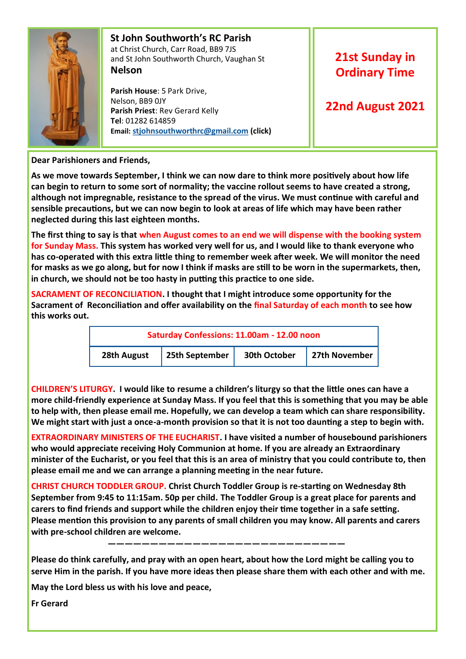

#### **St John Southworth's RC Parish** at Christ Church, Carr Road, BB9 7JS and St John Southworth Church, Vaughan St **Nelson**

 **Parish House**: 5 Park Drive, Nelson, BB9 0JY **Parish Priest**: Rev Gerard Kelly **Tel**: 01282 614859 **Email: [stjohnsouthworthrc@gmail.com](mailto:stjohnsouthworth@gmail.com) (click)**

# **21st Sunday in Ordinary Time**

# **22nd August 2021**

**Dear Parishioners and Friends,**

**As we move towards September, I think we can now dare to think more positively about how life can begin to return to some sort of normality; the vaccine rollout seems to have created a strong, although not impregnable, resistance to the spread of the virus. We must continue with careful and sensible precautions, but we can now begin to look at areas of life which may have been rather neglected during this last eighteen months.**

**The first thing to say is that when August comes to an end we will dispense with the booking system for Sunday Mass. This system has worked very well for us, and I would like to thank everyone who has co-operated with this extra little thing to remember week after week. We will monitor the need for masks as we go along, but for now I think if masks are still to be worn in the supermarkets, then, in church, we should not be too hasty in putting this practice to one side.**

**SACRAMENT OF RECONCILIATION. I thought that I might introduce some opportunity for the Sacrament of Reconciliation and offer availability on the final Saturday of each month to see how this works out.**

| Saturday Confessions: 11.00am - 12.00 noon |                |              |               |  |  |  |
|--------------------------------------------|----------------|--------------|---------------|--|--|--|
| 28th August                                | 25th September | 30th October | 27th November |  |  |  |

**CHILDREN'S LITURGY. I would like to resume a children's liturgy so that the little ones can have a more child-friendly experience at Sunday Mass. If you feel that this is something that you may be able to help with, then please email me. Hopefully, we can develop a team which can share responsibility. We might start with just a once-a-month provision so that it is not too daunting a step to begin with.** 

**EXTRAORDINARY MINISTERS OF THE EUCHARIST. I have visited a number of housebound parishioners who would appreciate receiving Holy Communion at home. If you are already an Extraordinary minister of the Eucharist, or you feel that this is an area of ministry that you could contribute to, then please email me and we can arrange a planning meeting in the near future.** 

**CHRIST CHURCH TODDLER GROUP. Christ Church Toddler Group is re-starting on Wednesday 8th September from 9:45 to 11:15am. 50p per child. The Toddler Group is a great place for parents and carers to find friends and support while the children enjoy their time together in a safe setting. Please mention this provision to any parents of small children you may know. All parents and carers with pre-school children are welcome.** 

 **————————————————————————————**

**Please do think carefully, and pray with an open heart, about how the Lord might be calling you to serve Him in the parish. If you have more ideas then please share them with each other and with me.**

**May the Lord bless us with his love and peace,**

**Fr Gerard**